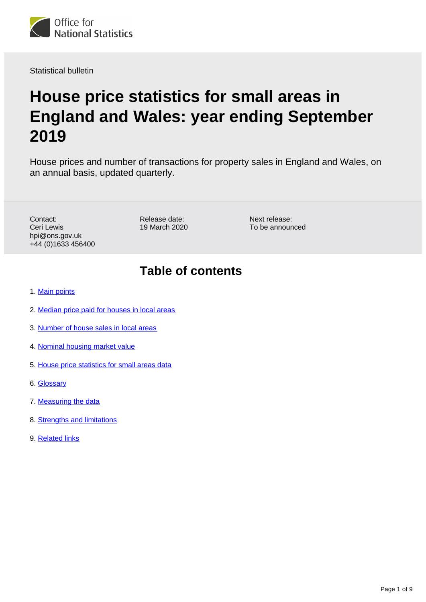

Statistical bulletin

# **House price statistics for small areas in England and Wales: year ending September 2019**

House prices and number of transactions for property sales in England and Wales, on an annual basis, updated quarterly.

Contact: Ceri Lewis hpi@ons.gov.uk +44 (0)1633 456400 Release date: 19 March 2020

Next release: To be announced

## **Table of contents**

- 1. [Main points](#page-1-0)
- 2. [Median price paid for houses in local areas](#page-1-1)
- 3. [Number of house sales in local areas](#page-2-0)
- 4. [Nominal housing market value](#page-4-0)
- 5. [House price statistics for small areas data](#page-6-0)
- 6. [Glossary](#page-6-1)
- 7. [Measuring the data](#page-7-0)
- 8. [Strengths and limitations](#page-7-1)
- 9. [Related links](#page-8-0)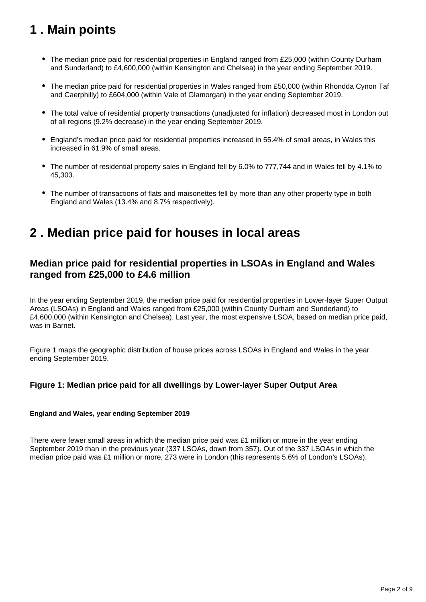## <span id="page-1-0"></span>**1 . Main points**

- The median price paid for residential properties in England ranged from £25,000 (within County Durham and Sunderland) to £4,600,000 (within Kensington and Chelsea) in the year ending September 2019.
- The median price paid for residential properties in Wales ranged from £50,000 (within Rhondda Cynon Taf and Caerphilly) to £604,000 (within Vale of Glamorgan) in the year ending September 2019.
- The total value of residential property transactions (unadjusted for inflation) decreased most in London out of all regions (9.2% decrease) in the year ending September 2019.
- England's median price paid for residential properties increased in 55.4% of small areas, in Wales this increased in 61.9% of small areas.
- The number of residential property sales in England fell by 6.0% to 777,744 and in Wales fell by 4.1% to 45,303.
- The number of transactions of flats and maisonettes fell by more than any other property type in both England and Wales (13.4% and 8.7% respectively).

## <span id="page-1-1"></span>**2 . Median price paid for houses in local areas**

### **Median price paid for residential properties in LSOAs in England and Wales ranged from £25,000 to £4.6 million**

In the year ending September 2019, the median price paid for residential properties in Lower-layer Super Output Areas (LSOAs) in England and Wales ranged from £25,000 (within County Durham and Sunderland) to £4,600,000 (within Kensington and Chelsea). Last year, the most expensive LSOA, based on median price paid, was in Barnet.

Figure 1 maps the geographic distribution of house prices across LSOAs in England and Wales in the year ending September 2019.

### **Figure 1: Median price paid for all dwellings by Lower-layer Super Output Area**

### **England and Wales, year ending September 2019**

There were fewer small areas in which the median price paid was  $£1$  million or more in the year ending September 2019 than in the previous year (337 LSOAs, down from 357). Out of the 337 LSOAs in which the median price paid was £1 million or more, 273 were in London (this represents 5.6% of London's LSOAs).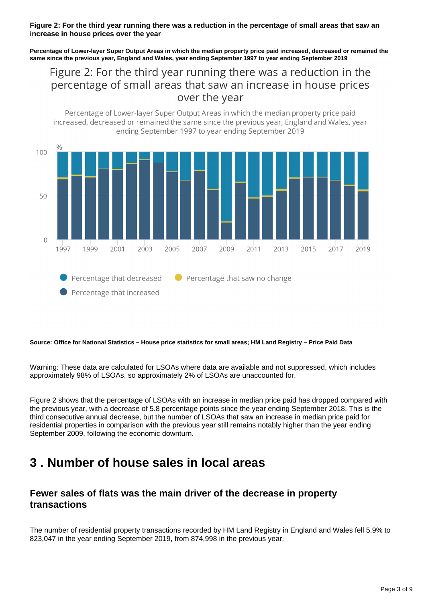#### **Figure 2: For the third year running there was a reduction in the percentage of small areas that saw an increase in house prices over the year**

**Percentage of Lower-layer Super Output Areas in which the median property price paid increased, decreased or remained the same since the previous year, England and Wales, year ending September 1997 to year ending September 2019**

Figure 2: For the third year running there was a reduction in the percentage of small areas that saw an increase in house prices over the year

Percentage of Lower-layer Super Output Areas in which the median property price paid



#### **Source: Office for National Statistics – House price statistics for small areas; HM Land Registry – Price Paid Data**

Warning: These data are calculated for LSOAs where data are available and not suppressed, which includes approximately 98% of LSOAs, so approximately 2% of LSOAs are unaccounted for.

Figure 2 shows that the percentage of LSOAs with an increase in median price paid has dropped compared with the previous year, with a decrease of 5.8 percentage points since the year ending September 2018. This is the third consecutive annual decrease, but the number of LSOAs that saw an increase in median price paid for residential properties in comparison with the previous year still remains notably higher than the year ending September 2009, following the economic downturn.

## <span id="page-2-0"></span>**3 . Number of house sales in local areas**

### **Fewer sales of flats was the main driver of the decrease in property transactions**

The number of residential property transactions recorded by HM Land Registry in England and Wales fell 5.9% to 823,047 in the year ending September 2019, from 874,998 in the previous year.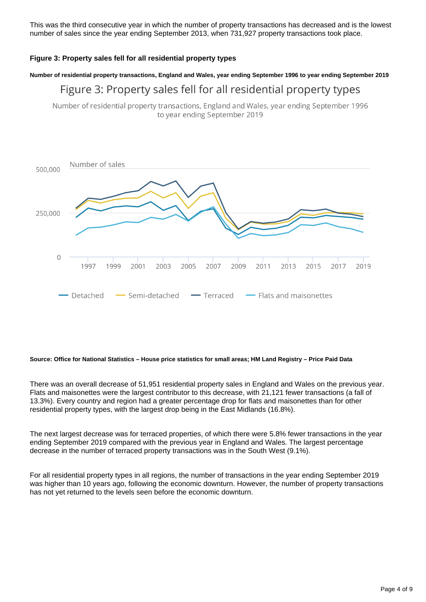This was the third consecutive year in which the number of property transactions has decreased and is the lowest number of sales since the year ending September 2013, when 731,927 property transactions took place.

### **Figure 3: Property sales fell for all residential property types**

#### **Number of residential property transactions, England and Wales, year ending September 1996 to year ending September 2019**

## Figure 3: Property sales fell for all residential property types

Number of residential property transactions, England and Wales, year ending September 1996 to year ending September 2019



#### **Source: Office for National Statistics – House price statistics for small areas; HM Land Registry – Price Paid Data**

There was an overall decrease of 51,951 residential property sales in England and Wales on the previous year. Flats and maisonettes were the largest contributor to this decrease, with 21,121 fewer transactions (a fall of 13.3%). Every country and region had a greater percentage drop for flats and maisonettes than for other residential property types, with the largest drop being in the East Midlands (16.8%).

The next largest decrease was for terraced properties, of which there were 5.8% fewer transactions in the year ending September 2019 compared with the previous year in England and Wales. The largest percentage decrease in the number of terraced property transactions was in the South West (9.1%).

For all residential property types in all regions, the number of transactions in the year ending September 2019 was higher than 10 years ago, following the economic downturn. However, the number of property transactions has not yet returned to the levels seen before the economic downturn.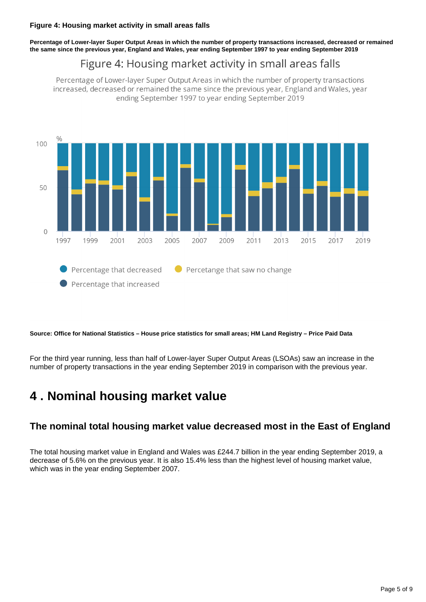**Percentage of Lower-layer Super Output Areas in which the number of property transactions increased, decreased or remained the same since the previous year, England and Wales, year ending September 1997 to year ending September 2019**

## Figure 4: Housing market activity in small areas falls

Percentage of Lower-layer Super Output Areas in which the number of property transactions increased, decreased or remained the same since the previous year, England and Wales, year ending September 1997 to year ending September 2019



**Source: Office for National Statistics – House price statistics for small areas; HM Land Registry – Price Paid Data**

For the third year running, less than half of Lower-layer Super Output Areas (LSOAs) saw an increase in the number of property transactions in the year ending September 2019 in comparison with the previous year.

## <span id="page-4-0"></span>**4 . Nominal housing market value**

### **The nominal total housing market value decreased most in the East of England**

The total housing market value in England and Wales was £244.7 billion in the year ending September 2019, a decrease of 5.6% on the previous year. It is also 15.4% less than the highest level of housing market value, which was in the year ending September 2007.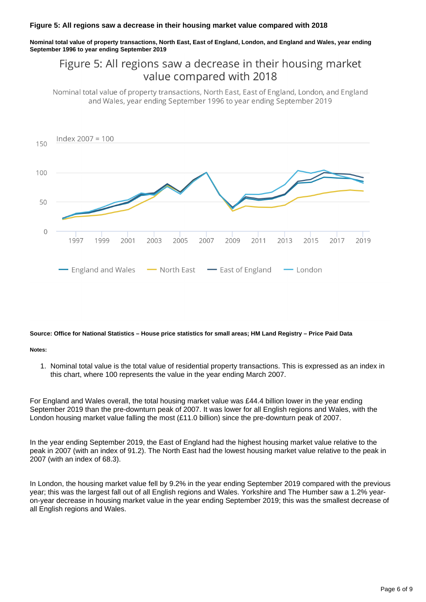#### **Figure 5: All regions saw a decrease in their housing market value compared with 2018**

**Nominal total value of property transactions, North East, East of England, London, and England and Wales, year ending September 1996 to year ending September 2019**

## Figure 5: All regions saw a decrease in their housing market value compared with 2018

Nominal total value of property transactions, North East, East of England, London, and England and Wales, year ending September 1996 to year ending September 2019



#### **Source: Office for National Statistics – House price statistics for small areas; HM Land Registry – Price Paid Data**

#### **Notes:**

1. Nominal total value is the total value of residential property transactions. This is expressed as an index in this chart, where 100 represents the value in the year ending March 2007.

For England and Wales overall, the total housing market value was £44.4 billion lower in the year ending September 2019 than the pre-downturn peak of 2007. It was lower for all English regions and Wales, with the London housing market value falling the most (£11.0 billion) since the pre-downturn peak of 2007.

In the year ending September 2019, the East of England had the highest housing market value relative to the peak in 2007 (with an index of 91.2). The North East had the lowest housing market value relative to the peak in 2007 (with an index of 68.3).

In London, the housing market value fell by 9.2% in the year ending September 2019 compared with the previous year; this was the largest fall out of all English regions and Wales. Yorkshire and The Humber saw a 1.2% yearon-year decrease in housing market value in the year ending September 2019; this was the smallest decrease of all English regions and Wales.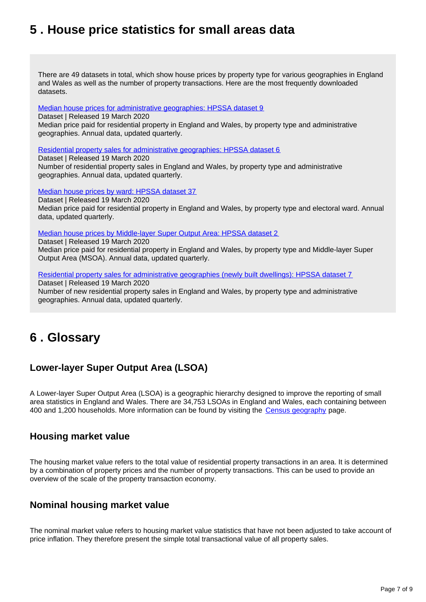## <span id="page-6-0"></span>**5 . House price statistics for small areas data**

There are 49 datasets in total, which show house prices by property type for various geographies in England and Wales as well as the number of property transactions. Here are the most frequently downloaded datasets.

[Median house prices for administrative geographies: HPSSA dataset 9](https://www.ons.gov.uk/peoplepopulationandcommunity/housing/datasets/medianhousepricefornationalandsubnationalgeographiesquarterlyrollingyearhpssadataset09)

Dataset | Released 19 March 2020 Median price paid for residential property in England and Wales, by property type and administrative geographies. Annual data, updated quarterly.

[Residential property sales for administrative geographies: HPSSA dataset 6](https://www.ons.gov.uk/peoplepopulationandcommunity/housing/datasets/numberofresidentialpropertysalesfornationalandsubnationalgeographiesquarterlyrollingyearhpssadataset06)

Dataset | Released 19 March 2020 Number of residential property sales in England and Wales, by property type and administrative geographies. Annual data, updated quarterly.

[Median house prices by ward: HPSSA dataset 37](https://www.ons.gov.uk/peoplepopulationandcommunity/housing/datasets/medianpricepaidbywardhpssadataset37)

Dataset | Released 19 March 2020

Median price paid for residential property in England and Wales, by property type and electoral ward. Annual data, updated quarterly.

[Median house prices by Middle-layer Super Output Area: HPSSA dataset 2](https://www.ons.gov.uk/peoplepopulationandcommunity/housing/datasets/hpssadataset2medianhousepricebymsoaquarterlyrollingyear)

Dataset | Released 19 March 2020 Median price paid for residential property in England and Wales, by property type and Middle-layer Super Output Area (MSOA). Annual data, updated quarterly.

[Residential property sales for administrative geographies \(newly built dwellings\): HPSSA dataset 7](https://www.ons.gov.uk/peoplepopulationandcommunity/housing/datasets/numberofresidentialpropertysalesfornationalandsubnationalgeographiesnewlybuiltdwellingsquarterlyrollingyearhpssadataset07)

Dataset | Released 19 March 2020

Number of new residential property sales in England and Wales, by property type and administrative geographies. Annual data, updated quarterly.

## <span id="page-6-1"></span>**6 . Glossary**

## **Lower-layer Super Output Area (LSOA)**

A Lower-layer Super Output Area (LSOA) is a geographic hierarchy designed to improve the reporting of small area statistics in England and Wales. There are 34,753 LSOAs in England and Wales, each containing between 400 and 1,200 households. More information can be found by visiting the [Census geography](https://www.ons.gov.uk/methodology/geography/ukgeographies/censusgeography) page.

### **Housing market value**

The housing market value refers to the total value of residential property transactions in an area. It is determined by a combination of property prices and the number of property transactions. This can be used to provide an overview of the scale of the property transaction economy.

### **Nominal housing market value**

The nominal market value refers to housing market value statistics that have not been adjusted to take account of price inflation. They therefore present the simple total transactional value of all property sales.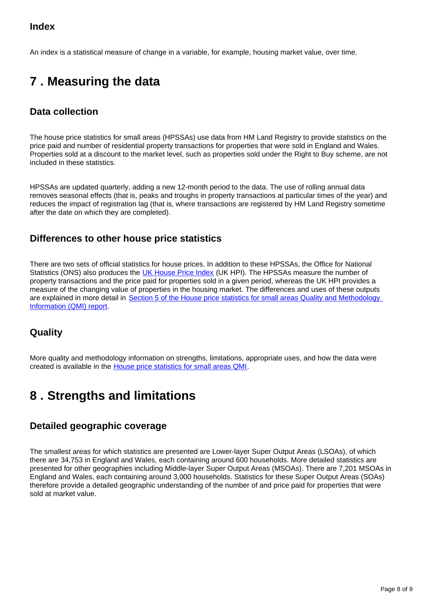### **Index**

An index is a statistical measure of change in a variable, for example, housing market value, over time.

## <span id="page-7-0"></span>**7 . Measuring the data**

### **Data collection**

The house price statistics for small areas (HPSSAs) use data from HM Land Registry to provide statistics on the price paid and number of residential property transactions for properties that were sold in England and Wales. Properties sold at a discount to the market level, such as properties sold under the Right to Buy scheme, are not included in these statistics.

HPSSAs are updated quarterly, adding a new 12-month period to the data. The use of rolling annual data removes seasonal effects (that is, peaks and troughs in property transactions at particular times of the year) and reduces the impact of registration lag (that is, where transactions are registered by HM Land Registry sometime after the date on which they are completed).

### **Differences to other house price statistics**

There are two sets of official statistics for house prices. In addition to these HPSSAs, the Office for National Statistics (ONS) also produces the [UK House Price Index](https://www.ons.gov.uk/economy/inflationandpriceindices/bulletins/housepriceindex/previousReleases) (UK HPI). The HPSSAs measure the number of property transactions and the price paid for properties sold in a given period, whereas the UK HPI provides a measure of the changing value of properties in the housing market. The differences and uses of these outputs are explained in more detail in [Section 5 of the House price statistics for small areas Quality and Methodology](https://www.ons.gov.uk/peoplepopulationandcommunity/housing/methodologies/housepricestatisticsforsmallareasqmi#quality-characteristics-of-the-data)  [Information \(QMI\) report](https://www.ons.gov.uk/peoplepopulationandcommunity/housing/methodologies/housepricestatisticsforsmallareasqmi#quality-characteristics-of-the-data).

### **Quality**

More quality and methodology information on strengths, limitations, appropriate uses, and how the data were created is available in the [House price statistics for small areas QMI.](https://www.ons.gov.uk/peoplepopulationandcommunity/housing/methodologies/housepricestatisticsforsmallareasqmi)

## <span id="page-7-1"></span>**8 . Strengths and limitations**

### **Detailed geographic coverage**

The smallest areas for which statistics are presented are Lower-layer Super Output Areas (LSOAs), of which there are 34,753 in England and Wales, each containing around 600 households. More detailed statistics are presented for other geographies including Middle-layer Super Output Areas (MSOAs). There are 7,201 MSOAs in England and Wales, each containing around 3,000 households. Statistics for these Super Output Areas (SOAs) therefore provide a detailed geographic understanding of the number of and price paid for properties that were sold at market value.